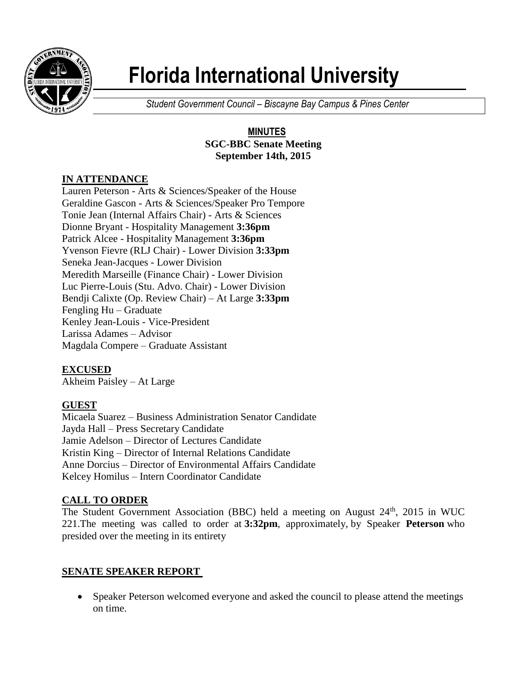

# **Florida International University**

*Student Government Council – Biscayne Bay Campus & Pines Center*

#### **MINUTES SGC-BBC Senate Meeting September 14th, 2015**

## **IN ATTENDANCE**

Lauren Peterson - Arts & Sciences/Speaker of the House Geraldine Gascon - Arts & Sciences/Speaker Pro Tempore Tonie Jean (Internal Affairs Chair) - Arts & Sciences Dionne Bryant - Hospitality Management **3:36pm** Patrick Alcee - Hospitality Management **3:36pm** Yvenson Fievre (RLJ Chair) - Lower Division **3:33pm** Seneka Jean-Jacques - Lower Division Meredith Marseille (Finance Chair) - Lower Division Luc Pierre-Louis (Stu. Advo. Chair) - Lower Division Bendji Calixte (Op. Review Chair) – At Large **3:33pm** Fengling Hu – Graduate Kenley Jean-Louis - Vice-President Larissa Adames – Advisor Magdala Compere – Graduate Assistant

## **EXCUSED**

Akheim Paisley – At Large

## **GUEST**

Micaela Suarez – Business Administration Senator Candidate Jayda Hall – Press Secretary Candidate Jamie Adelson – Director of Lectures Candidate Kristin King – Director of Internal Relations Candidate Anne Dorcius – Director of Environmental Affairs Candidate Kelcey Homilus – Intern Coordinator Candidate

## **CALL TO ORDER**

The Student Government Association (BBC) held a meeting on August  $24<sup>th</sup>$ , 2015 in WUC 221.The meeting was called to order at **3:32pm**, approximately, by Speaker **Peterson** who presided over the meeting in its entirety

## **SENATE SPEAKER REPORT**

• Speaker Peterson welcomed everyone and asked the council to please attend the meetings on time.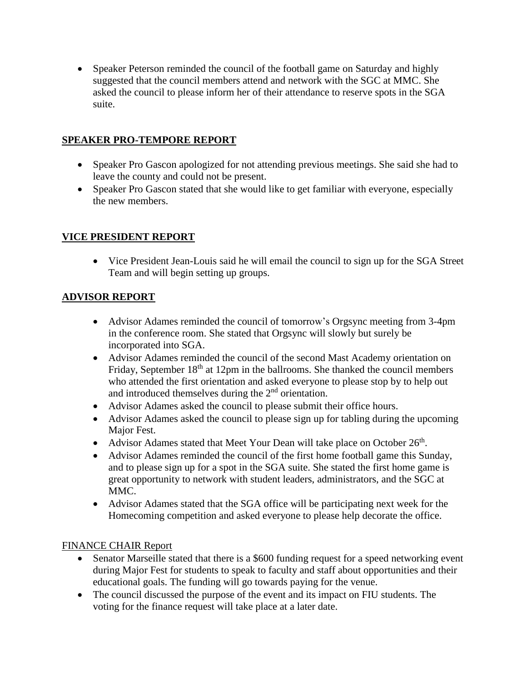• Speaker Peterson reminded the council of the football game on Saturday and highly suggested that the council members attend and network with the SGC at MMC. She asked the council to please inform her of their attendance to reserve spots in the SGA suite.

### **SPEAKER PRO-TEMPORE REPORT**

- Speaker Pro Gascon apologized for not attending previous meetings. She said she had to leave the county and could not be present.
- Speaker Pro Gascon stated that she would like to get familiar with everyone, especially the new members.

#### **VICE PRESIDENT REPORT**

• Vice President Jean-Louis said he will email the council to sign up for the SGA Street Team and will begin setting up groups.

#### **ADVISOR REPORT**

- Advisor Adames reminded the council of tomorrow's Orgsync meeting from 3-4pm in the conference room. She stated that Orgsync will slowly but surely be incorporated into SGA.
- Advisor Adames reminded the council of the second Mast Academy orientation on Friday, September 18<sup>th</sup> at 12pm in the ballrooms. She thanked the council members who attended the first orientation and asked everyone to please stop by to help out and introduced themselves during the 2nd orientation.
- Advisor Adames asked the council to please submit their office hours.
- Advisor Adames asked the council to please sign up for tabling during the upcoming Major Fest.
- Advisor Adames stated that Meet Your Dean will take place on October  $26<sup>th</sup>$ .
- Advisor Adames reminded the council of the first home football game this Sunday, and to please sign up for a spot in the SGA suite. She stated the first home game is great opportunity to network with student leaders, administrators, and the SGC at MMC.
- Advisor Adames stated that the SGA office will be participating next week for the Homecoming competition and asked everyone to please help decorate the office.

#### FINANCE CHAIR Report

- Senator Marseille stated that there is a \$600 funding request for a speed networking event during Major Fest for students to speak to faculty and staff about opportunities and their educational goals. The funding will go towards paying for the venue.
- The council discussed the purpose of the event and its impact on FIU students. The voting for the finance request will take place at a later date.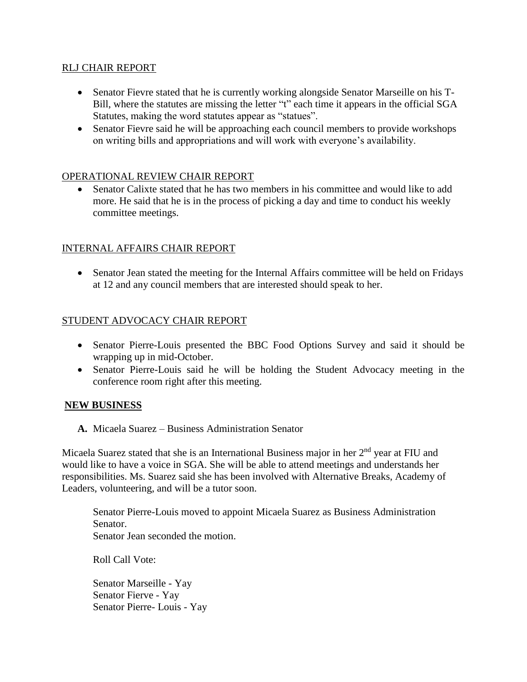#### RLJ CHAIR REPORT

- Senator Fievre stated that he is currently working alongside Senator Marseille on his T-Bill, where the statutes are missing the letter "t" each time it appears in the official SGA Statutes, making the word statutes appear as "statues".
- Senator Fievre said he will be approaching each council members to provide workshops on writing bills and appropriations and will work with everyone's availability.

#### OPERATIONAL REVIEW CHAIR REPORT

 Senator Calixte stated that he has two members in his committee and would like to add more. He said that he is in the process of picking a day and time to conduct his weekly committee meetings.

#### INTERNAL AFFAIRS CHAIR REPORT

 Senator Jean stated the meeting for the Internal Affairs committee will be held on Fridays at 12 and any council members that are interested should speak to her.

#### STUDENT ADVOCACY CHAIR REPORT

- Senator Pierre-Louis presented the BBC Food Options Survey and said it should be wrapping up in mid-October.
- Senator Pierre-Louis said he will be holding the Student Advocacy meeting in the conference room right after this meeting.

#### **NEW BUSINESS**

**A.** Micaela Suarez – Business Administration Senator

Micaela Suarez stated that she is an International Business major in her  $2<sup>nd</sup>$  year at FIU and would like to have a voice in SGA. She will be able to attend meetings and understands her responsibilities. Ms. Suarez said she has been involved with Alternative Breaks, Academy of Leaders, volunteering, and will be a tutor soon.

Senator Pierre-Louis moved to appoint Micaela Suarez as Business Administration Senator. Senator Jean seconded the motion.

Roll Call Vote:

Senator Marseille - Yay Senator Fierve - Yay Senator Pierre- Louis - Yay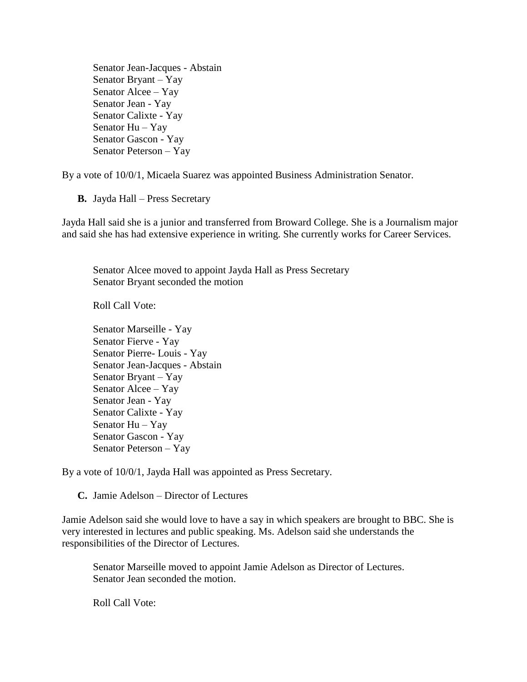Senator Jean-Jacques - Abstain Senator Bryant – Yay Senator Alcee – Yay Senator Jean - Yay Senator Calixte - Yay Senator Hu – Yay Senator Gascon - Yay Senator Peterson – Yay

By a vote of 10/0/1, Micaela Suarez was appointed Business Administration Senator.

**B.** Jayda Hall – Press Secretary

Jayda Hall said she is a junior and transferred from Broward College. She is a Journalism major and said she has had extensive experience in writing. She currently works for Career Services.

Senator Alcee moved to appoint Jayda Hall as Press Secretary Senator Bryant seconded the motion

Roll Call Vote:

Senator Marseille - Yay Senator Fierve - Yay Senator Pierre- Louis - Yay Senator Jean-Jacques - Abstain Senator Bryant – Yay Senator Alcee – Yay Senator Jean - Yay Senator Calixte - Yay Senator Hu – Yay Senator Gascon - Yay Senator Peterson – Yay

By a vote of 10/0/1, Jayda Hall was appointed as Press Secretary.

**C.** Jamie Adelson – Director of Lectures

Jamie Adelson said she would love to have a say in which speakers are brought to BBC. She is very interested in lectures and public speaking. Ms. Adelson said she understands the responsibilities of the Director of Lectures.

Senator Marseille moved to appoint Jamie Adelson as Director of Lectures. Senator Jean seconded the motion.

Roll Call Vote: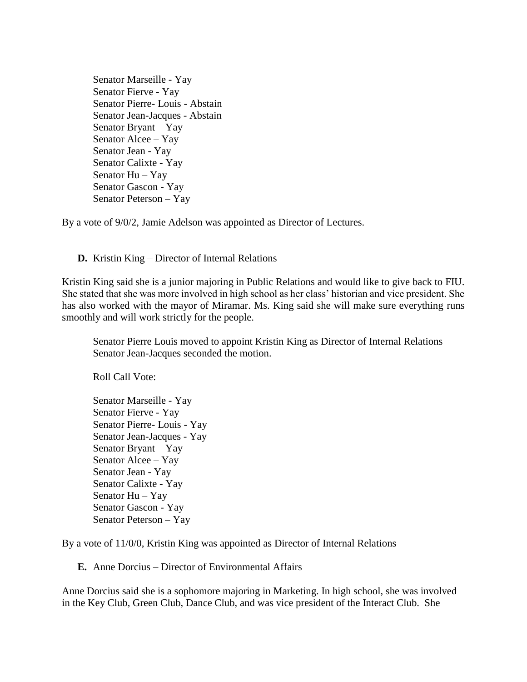Senator Marseille - Yay Senator Fierve - Yay Senator Pierre- Louis - Abstain Senator Jean-Jacques - Abstain Senator Bryant – Yay Senator Alcee – Yay Senator Jean - Yay Senator Calixte - Yay Senator Hu – Yay Senator Gascon - Yay Senator Peterson – Yay

By a vote of 9/0/2, Jamie Adelson was appointed as Director of Lectures.

**D.** Kristin King – Director of Internal Relations

Kristin King said she is a junior majoring in Public Relations and would like to give back to FIU. She stated that she was more involved in high school as her class' historian and vice president. She has also worked with the mayor of Miramar. Ms. King said she will make sure everything runs smoothly and will work strictly for the people.

Senator Pierre Louis moved to appoint Kristin King as Director of Internal Relations Senator Jean-Jacques seconded the motion.

Roll Call Vote:

Senator Marseille - Yay Senator Fierve - Yay Senator Pierre- Louis - Yay Senator Jean-Jacques - Yay Senator Bryant – Yay Senator Alcee – Yay Senator Jean - Yay Senator Calixte - Yay Senator Hu – Yay Senator Gascon - Yay Senator Peterson – Yay

By a vote of 11/0/0, Kristin King was appointed as Director of Internal Relations

**E.** Anne Dorcius – Director of Environmental Affairs

Anne Dorcius said she is a sophomore majoring in Marketing. In high school, she was involved in the Key Club, Green Club, Dance Club, and was vice president of the Interact Club. She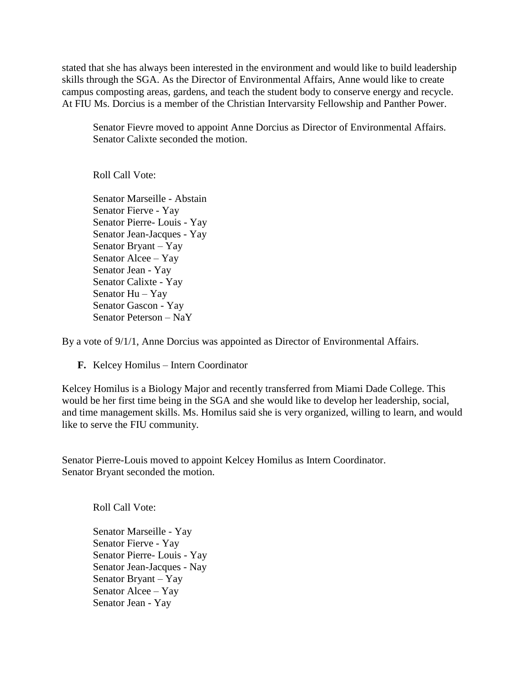stated that she has always been interested in the environment and would like to build leadership skills through the SGA. As the Director of Environmental Affairs, Anne would like to create campus composting areas, gardens, and teach the student body to conserve energy and recycle. At FIU Ms. Dorcius is a member of the Christian Intervarsity Fellowship and Panther Power.

Senator Fievre moved to appoint Anne Dorcius as Director of Environmental Affairs. Senator Calixte seconded the motion.

Roll Call Vote:

Senator Marseille - Abstain Senator Fierve - Yay Senator Pierre- Louis - Yay Senator Jean-Jacques - Yay Senator Bryant – Yay Senator Alcee – Yay Senator Jean - Yay Senator Calixte - Yay Senator Hu – Yay Senator Gascon - Yay Senator Peterson – NaY

By a vote of 9/1/1, Anne Dorcius was appointed as Director of Environmental Affairs.

**F.** Kelcey Homilus – Intern Coordinator

Kelcey Homilus is a Biology Major and recently transferred from Miami Dade College. This would be her first time being in the SGA and she would like to develop her leadership, social, and time management skills. Ms. Homilus said she is very organized, willing to learn, and would like to serve the FIU community.

Senator Pierre-Louis moved to appoint Kelcey Homilus as Intern Coordinator. Senator Bryant seconded the motion.

Roll Call Vote:

Senator Marseille - Yay Senator Fierve - Yay Senator Pierre- Louis - Yay Senator Jean-Jacques - Nay Senator Bryant – Yay Senator Alcee – Yay Senator Jean - Yay